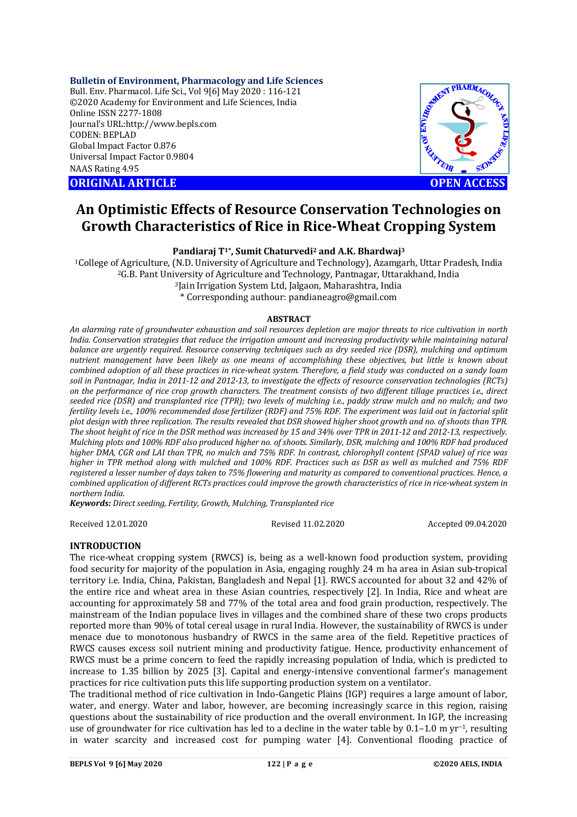### **Bulletin of Environment, Pharmacology and Life Sciences**

Bull. Env. Pharmacol. Life Sci., Vol 9[6] May 2020 : 116-121 ©2020 Academy for Environment and Life Sciences, India Online ISSN 2277-1808 Journal's URL:<http://www.bepls.com> CODEN: BEPLAD Global Impact Factor 0.876 Universal Impact Factor 0.9804 NAAS Rating 4.95

**ORIGINAL ARTICLE** AND **OPEN ACCESS** 



# **An Optimistic Effects of Resource Conservation Technologies on Growth Characteristics of Rice in Rice-Wheat Cropping System**

**Pandiaraj T1\*, Sumit Chaturvedi<sup>2</sup> and A.K. Bhardwaj<sup>3</sup>**

College of Agriculture, (N.D. University of Agriculture and Technology), Azamgarh, Uttar Pradesh, India G.B. Pant University of Agriculture and Technology, Pantnagar, Uttarakhand, India Jain Irrigation System Ltd, Jalgaon, Maharashtra, India \* Corresponding authour: [pandianeagro@gmail.com](mailto:pandianeagro@gmail.com)

#### **ABSTRACT**

*An alarming rate of groundwater exhaustion and soil resources depletion are major threats to rice cultivation in north India. Conservation strategies that reduce the irrigation amount and increasing productivity while maintaining natural balance are urgently required. Resource conserving techniques such as dry seeded rice (DSR), mulching and optimum nutrient management have been likely as one means of accomplishing these objectives, but little is known about combined adoption of all these practices in rice-wheat system. Therefore, a field study was conducted on a sandy loam soil in Pantnagar, India in 2011-12 and 2012-13, to investigate the effects of resource conservation technologies (RCTs) on the performance of rice crop growth characters. The treatment consists of two different tillage practices i.e., direct seeded rice (DSR) and transplanted rice (TPR); two levels of mulching i.e., paddy straw mulch and no mulch; and two fertility levels i.e., 100% recommended dose fertilizer (RDF) and 75% RDF. The experiment was laid out in factorial split plot design with three replication. The results revealed that DSR showed higher shoot growth and no. of shoots than TPR. The shoot height of rice in the DSR method was increased by 15 and 34% over TPR in 2011-12 and 2012-13, respectively. Mulching plots and 100% RDF also produced higher no. of shoots. Similarly, DSR, mulching and 100% RDF had produced higher DMA, CGR and LAI than TPR, no mulch and 75% RDF. In contrast, chlorophyll content (SPAD value) of rice was higher in TPR method along with mulched and 100% RDF. Practices such as DSR as well as mulched and 75% RDF registered a lesser number of days taken to 75% flowering and maturity as compared to conventional practices. Hence, a combined application of different RCTs practices could improve the growth characteristics of rice in rice-wheat system in northern India.*

*Keywords: Direct seeding, Fertility, Growth, Mulching, Transplanted rice*

Received 12.01.2020 Revised 11.02.2020 Accepted 09.04.2020

# **INTRODUCTION**

The rice-wheat cropping system (RWCS) is, being as a well-known food production system, providing food security for majority of the population in Asia, engaging roughly 24 m ha area in Asian sub-tropical territory i.e. India, China, Pakistan, Bangladesh and Nepal [1]. RWCS accounted for about 32 and 42% of the entire rice and wheat area in these Asian countries, respectively [2]. In India, Rice and wheat are accounting for approximately 58 and 77% of the total area and food grain production, respectively. The mainstream of the Indian populace lives in villages and the combined share of these two crops products reported more than 90% of total cereal usage in rural India. However, the sustainability of RWCS is under menace due to monotonous husbandry of RWCS in the same area of the field. Repetitive practices of RWCS causes excess soil nutrient mining and productivity fatigue. Hence, productivity enhancement of RWCS must be a prime concern to feed the rapidly increasing population of India, which is predicted to increase to 1.35 billion by 2025 [3]. Capital and energy-intensive conventional farmer's management practices for rice cultivation puts this life supporting production system on a ventilator.

The traditional method of rice cultivation in Indo-Gangetic Plains (IGP) requires a large amount of labor, water, and energy. Water and labor, however, are becoming increasingly scarce in this region, raising questions about the sustainability of rice production and the overall environment. In IGP, the increasing use of groundwater for rice cultivation has led to a decline in the water table by 0.1–1.0 m yr−1, resulting in water scarcity and increased cost for pumping water [4]. Conventional flooding practice of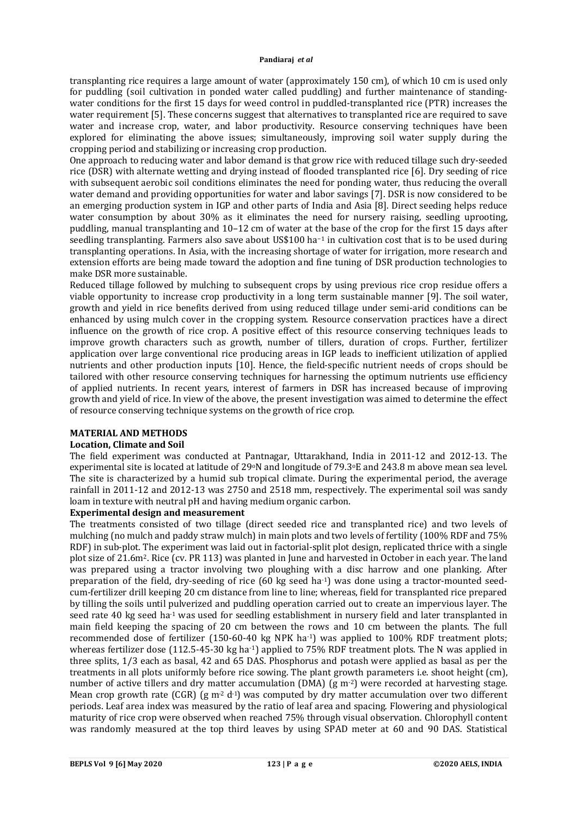transplanting rice requires a large amount of water (approximately 150 cm), of which 10 cm is used only for puddling (soil cultivation in ponded water called puddling) and further maintenance of standingwater conditions for the first 15 days for weed control in puddled-transplanted rice (PTR) increases the water requirement [5]. These concerns suggest that alternatives to transplanted rice are required to save water and increase crop, water, and labor productivity. Resource conserving techniques have been explored for eliminating the above issues; simultaneously, improving soil water supply during the cropping period and stabilizing or increasing crop production.

One approach to reducing water and labor demand is that grow rice with reduced tillage such dry-seeded rice (DSR) with alternate wetting and drying instead of flooded transplanted rice [6]. Dry seeding of rice with subsequent aerobic soil conditions eliminates the need for ponding water, thus reducing the overall water demand and providing opportunities for water and labor savings [7]. DSR is now considered to be an emerging production system in IGP and other parts of India and Asia [8]. Direct seeding helps reduce water consumption by about 30% as it eliminates the need for nursery raising, seedling uprooting, puddling, manual transplanting and 10–12 cm of water at the base of the crop for the first 15 days after seedling transplanting. Farmers also save about US\$100 ha−1 in cultivation cost that is to be used during transplanting operations. In Asia, with the increasing shortage of water for irrigation, more research and extension efforts are being made toward the adoption and fine tuning of DSR production technologies to make DSR more sustainable.

Reduced tillage followed by mulching to subsequent crops by using previous rice crop residue offers a viable opportunity to increase crop productivity in a long term sustainable manner [9]. The soil water, growth and yield in rice benefits derived from using reduced tillage under semi-arid conditions can be enhanced by using mulch cover in the cropping system. Resource conservation practices have a direct influence on the growth of rice crop. A positive effect of this resource conserving techniques leads to improve growth characters such as growth, number of tillers, duration of crops. Further, fertilizer application over large conventional rice producing areas in IGP leads to inefficient utilization of applied nutrients and other production inputs [10]. Hence, the field-specific nutrient needs of crops should be tailored with other resource conserving techniques for harnessing the optimum nutrients use efficiency of applied nutrients. In recent years, interest of farmers in DSR has increased because of improving growth and yield of rice. In view of the above, the present investigation was aimed to determine the effect of resource conserving technique systems on the growth of rice crop.

### **MATERIAL AND METHODS**

### **Location, Climate and Soil**

The field experiment was conducted at Pantnagar, Uttarakhand, India in 2011-12 and 2012-13. The experimental site is located at latitude of 29oN and longitude of 79.3oE and 243.8 m above mean sea level. The site is characterized by a humid sub tropical climate. During the experimental period, the average rainfall in 2011-12 and 2012-13 was 2750 and 2518 mm, respectively. The experimental soil was sandy loam in texture with neutral pH and having medium organic carbon.

### **Experimental design and measurement**

The treatments consisted of two tillage (direct seeded rice and transplanted rice) and two levels of mulching (no mulch and paddy straw mulch) in main plots and two levels of fertility (100% RDF and 75% RDF) in sub-plot. The experiment was laid out in factorial-split plot design, replicated thrice with a single plot size of 21.6m2. Rice (cv. PR 113) was planted in June and harvested in October in each year. The land was prepared using a tractor involving two ploughing with a disc harrow and one planking. After preparation of the field, dry-seeding of rice (60 kg seed ha-1) was done using a tractor-mounted seedcum-fertilizer drill keeping 20 cm distance from line to line; whereas, field for transplanted rice prepared by tilling the soils until pulverized and puddling operation carried out to create an impervious layer. The seed rate 40 kg seed ha-1 was used for seedling establishment in nursery field and later transplanted in main field keeping the spacing of 20 cm between the rows and 10 cm between the plants. The full recommended dose of fertilizer (150-60-40 kg NPK ha<sup>-1</sup>) was applied to 100% RDF treatment plots; whereas fertilizer dose (112.5-45-30 kg ha<sup>-1</sup>) applied to 75% RDF treatment plots. The N was applied in three splits, 1/3 each as basal, 42 and 65 DAS. Phosphorus and potash were applied as basal as per the treatments in all plots uniformly before rice sowing. The plant growth parameters i.e. shoot height (cm), number of active tillers and dry matter accumulation (DMA) (g m<sup>-2</sup>) were recorded at harvesting stage. Mean crop growth rate (CGR) (g  $m^2 d^1$ ) was computed by dry matter accumulation over two different periods. Leaf area index was measured by the ratio of leaf area and spacing. Flowering and physiological maturity of rice crop were observed when reached 75% through visual observation. Chlorophyll content was randomly measured at the top third leaves by using SPAD meter at 60 and 90 DAS. Statistical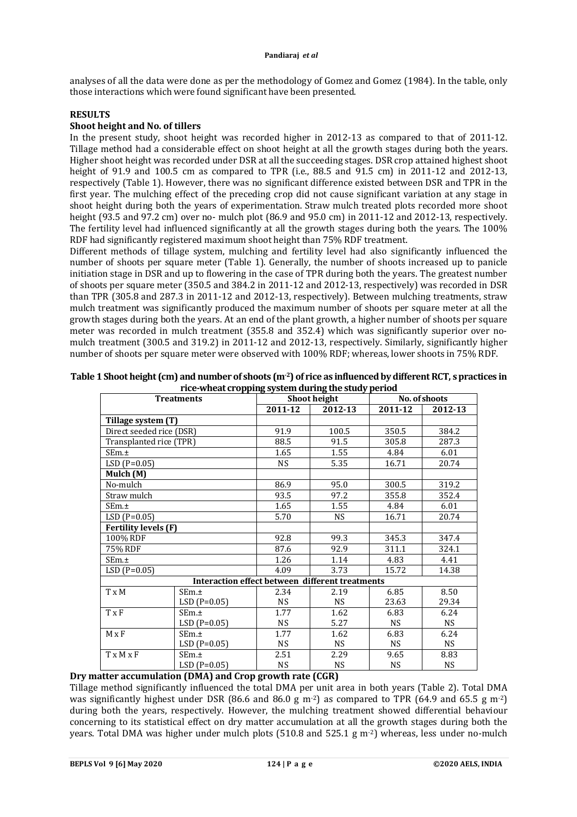analyses of all the data were done as per the methodology of Gomez and Gomez (1984). In the table, only those interactions which were found significant have been presented.

# **RESULTS**

# **Shoot height and No. of tillers**

In the present study, shoot height was recorded higher in 2012-13 as compared to that of 2011-12. Tillage method had a considerable effect on shoot height at all the growth stages during both the years. Higher shoot height was recorded under DSR at all the succeeding stages. DSR crop attained highest shoot height of 91.9 and 100.5 cm as compared to TPR (i.e., 88.5 and 91.5 cm) in 2011-12 and 2012-13, respectively (Table 1). However, there was no significant difference existed between DSR and TPR in the first year. The mulching effect of the preceding crop did not cause significant variation at any stage in shoot height during both the years of experimentation. Straw mulch treated plots recorded more shoot height (93.5 and 97.2 cm) over no- mulch plot (86.9 and 95.0 cm) in 2011-12 and 2012-13, respectively. The fertility level had influenced significantly at all the growth stages during both the years. The 100% RDF had significantly registered maximum shoot height than 75% RDF treatment.

Different methods of tillage system, mulching and fertility level had also significantly influenced the number of shoots per square meter (Table 1). Generally, the number of shoots increased up to panicle initiation stage in DSR and up to flowering in the case of TPR during both the years. The greatest number of shoots per square meter (350.5 and 384.2 in 2011-12 and 2012-13, respectively) was recorded in DSR than TPR (305.8 and 287.3 in 2011-12 and 2012-13, respectively). Between mulching treatments, straw mulch treatment was significantly produced the maximum number of shoots per square meter at all the growth stages during both the years. At an end of the plant growth, a higher number of shoots per square meter was recorded in mulch treatment (355.8 and 352.4) which was significantly superior over nomulch treatment (300.5 and 319.2) in 2011-12 and 2012-13, respectively. Similarly, significantly higher number of shoots per square meter were observed with 100% RDF; whereas, lower shoots in 75% RDF.

| <b>Treatments</b>           |                                                 | Shoot height |           | No. of shoots |           |
|-----------------------------|-------------------------------------------------|--------------|-----------|---------------|-----------|
|                             |                                                 | 2011-12      | 2012-13   | 2011-12       | 2012-13   |
| Tillage system (T)          |                                                 |              |           |               |           |
| Direct seeded rice (DSR)    |                                                 | 91.9         | 100.5     | 350.5         | 384.2     |
| Transplanted rice (TPR)     |                                                 | 88.5         | 91.5      | 305.8         | 287.3     |
| SEm.±                       |                                                 | 1.65         | 1.55      | 4.84          | 6.01      |
| $LSD(P=0.05)$               |                                                 | NS.          | 5.35      | 16.71         | 20.74     |
| Mulch (M)                   |                                                 |              |           |               |           |
| No-mulch                    |                                                 | 86.9         | 95.0      | 300.5         | 319.2     |
| Straw mulch                 |                                                 | 93.5         | 97.2      | 355.8         | 352.4     |
| SEm.±                       |                                                 | 1.65         | 1.55      | 4.84          | 6.01      |
| $LSD(P=0.05)$               |                                                 | 5.70         | <b>NS</b> | 16.71         | 20.74     |
| <b>Fertility levels (F)</b> |                                                 |              |           |               |           |
| 100% RDF                    |                                                 | 92.8         | 99.3      | 345.3         | 347.4     |
| 75% RDF                     |                                                 | 87.6         | 92.9      | 311.1         | 324.1     |
| SEm.±                       |                                                 | 1.26         | 1.14      | 4.83          | 4.41      |
| $LSD(P=0.05)$               |                                                 | 4.09         | 3.73      | 15.72         | 14.38     |
|                             | Interaction effect between different treatments |              |           |               |           |
| T x M                       | SEm.±                                           | 2.34         | 2.19      | 6.85          | 8.50      |
|                             | $LSD(P=0.05)$                                   | NS           | <b>NS</b> | 23.63         | 29.34     |
| T x F                       | SEm.±                                           | 1.77         | 1.62      | 6.83          | 6.24      |
|                             | $LSD(P=0.05)$                                   | <b>NS</b>    | 5.27      | <b>NS</b>     | <b>NS</b> |
| $M \times F$                | SEm.±                                           | 1.77         | 1.62      | 6.83          | 6.24      |
|                             | $LSD(P=0.05)$                                   | <b>NS</b>    | <b>NS</b> | <b>NS</b>     | <b>NS</b> |
| $T \times M \times F$       | SEm.±                                           | 2.51         | 2.29      | 9.65          | 8.83      |
|                             | $LSD(P=0.05)$                                   | NS           | <b>NS</b> | <b>NS</b>     | <b>NS</b> |

| Table 1 Shoot height (cm) and number of shoots (m <sup>-2</sup> ) of rice as influenced by different RCT, s practices in |
|--------------------------------------------------------------------------------------------------------------------------|
| rice-wheat cropping system during the study period                                                                       |

# **Dry matter accumulation (DMA) and Crop growth rate (CGR)**

Tillage method significantly influenced the total DMA per unit area in both years (Table 2). Total DMA was significantly highest under DSR (86.6 and 86.0 g m<sup>-2</sup>) as compared to TPR (64.9 and 65.5 g m<sup>-2</sup>) during both the years, respectively. However, the mulching treatment showed differential behaviour concerning to its statistical effect on dry matter accumulation at all the growth stages during both the years. Total DMA was higher under mulch plots (510.8 and 525.1 g  $m<sup>2</sup>$ ) whereas, less under no-mulch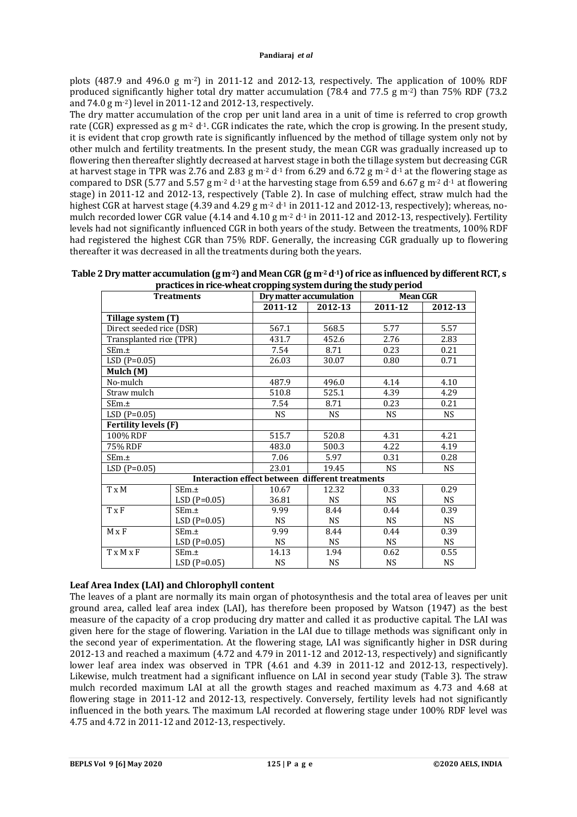plots (487.9 and 496.0 g m<sup>-2</sup>) in 2011-12 and 2012-13, respectively. The application of 100% RDF produced significantly higher total dry matter accumulation (78.4 and 77.5 g m<sup>-2</sup>) than 75% RDF (73.2) and 74.0 g m-2) level in 2011-12 and 2012-13, respectively.

The dry matter accumulation of the crop per unit land area in a unit of time is referred to crop growth rate (CGR) expressed as g m<sup>-2</sup> d<sup>-1</sup>. CGR indicates the rate, which the crop is growing. In the present study, it is evident that crop growth rate is significantly influenced by the method of tillage system only not by other mulch and fertility treatments. In the present study, the mean CGR was gradually increased up to flowering then thereafter slightly decreased at harvest stage in both the tillage system but decreasing CGR at harvest stage in TPR was 2.76 and 2.83 g m<sup>-2</sup> d<sup>-1</sup> from 6.29 and 6.72 g m<sup>-2</sup> d<sup>-1</sup> at the flowering stage as compared to DSR (5.77 and 5.57 g m<sup>-2</sup> d<sup>-1</sup> at the harvesting stage from 6.59 and 6.67 g m<sup>-2</sup> d<sup>-1</sup> at flowering stage) in 2011-12 and 2012-13, respectively (Table 2). In case of mulching effect, straw mulch had the highest CGR at harvest stage (4.39 and 4.29 g m<sup>-2</sup> d<sup>-1</sup> in 2011-12 and 2012-13, respectively); whereas, nomulch recorded lower CGR value (4.14 and 4.10 g  $m^2 d^1$  in 2011-12 and 2012-13, respectively). Fertility levels had not significantly influenced CGR in both years of the study. Between the treatments, 100% RDF had registered the highest CGR than 75% RDF. Generally, the increasing CGR gradually up to flowering thereafter it was decreased in all the treatments during both the years.

**Table 2 Dry matter accumulation (g m-2) and Mean CGR (g m-2d-1) of rice as influenced by different RCT, s practices in rice-wheat cropping system during the study period**

| praetices in rice wheat eropping system uuring the study period<br><b>Treatments</b> |                                                 |           | Dry matter accumulation | <b>Mean CGR</b> |           |  |
|--------------------------------------------------------------------------------------|-------------------------------------------------|-----------|-------------------------|-----------------|-----------|--|
|                                                                                      |                                                 | 2011-12   | 2012-13                 | 2011-12         | 2012-13   |  |
| Tillage system (T)                                                                   |                                                 |           |                         |                 |           |  |
| Direct seeded rice (DSR)                                                             |                                                 | 567.1     | 568.5                   | 5.77            | 5.57      |  |
| Transplanted rice (TPR)                                                              |                                                 | 431.7     | 452.6                   | 2.76            | 2.83      |  |
| SEm.±                                                                                |                                                 | 7.54      | 8.71                    | 0.23            | 0.21      |  |
| $LSD(P=0.05)$                                                                        |                                                 | 26.03     | 30.07                   | 0.80            | 0.71      |  |
| Mulch (M)                                                                            |                                                 |           |                         |                 |           |  |
| No-mulch                                                                             |                                                 | 487.9     | 496.0                   | 4.14            | 4.10      |  |
| Straw mulch                                                                          |                                                 | 510.8     | 525.1                   | 4.39            | 4.29      |  |
| SEm.±                                                                                |                                                 | 7.54      | 8.71                    | 0.23            | 0.21      |  |
| $LSD(P=0.05)$                                                                        |                                                 | <b>NS</b> | NS.                     | NS.             | NS        |  |
| <b>Fertility levels (F)</b>                                                          |                                                 |           |                         |                 |           |  |
| 100% RDF                                                                             |                                                 | 515.7     | 520.8                   | 4.31            | 4.21      |  |
| 75% RDF                                                                              |                                                 | 483.0     | 500.3                   | 4.22            | 4.19      |  |
| SEm.±                                                                                |                                                 | 7.06      | 5.97                    | 0.31            | 0.28      |  |
| $LSD(P=0.05)$                                                                        |                                                 | 23.01     | 19.45                   | <b>NS</b>       | NS.       |  |
|                                                                                      | Interaction effect between different treatments |           |                         |                 |           |  |
| $T \times M$                                                                         | SEm.±                                           | 10.67     | 12.32                   | 0.33            | 0.29      |  |
|                                                                                      | $LSD(P=0.05)$                                   | 36.81     | NS.                     | NS.             | NS.       |  |
| T x F                                                                                | SEm.±                                           | 9.99      | 8.44                    | 0.44            | 0.39      |  |
|                                                                                      | $LSD(P=0.05)$                                   | <b>NS</b> | NS.                     | NS.             | <b>NS</b> |  |
| $M \times F$                                                                         | SEm.±                                           | 9.99      | 8.44                    | 0.44            | 0.39      |  |
|                                                                                      | $LSD(P=0.05)$                                   | <b>NS</b> | <b>NS</b>               | <b>NS</b>       | <b>NS</b> |  |
| $T \times M \times F$                                                                | SEm.±                                           | 14.13     | 1.94                    | 0.62            | 0.55      |  |
|                                                                                      | $LSD(P=0.05)$                                   | <b>NS</b> | <b>NS</b>               | <b>NS</b>       | NS        |  |

# **Leaf Area Index (LAI) and Chlorophyll content**

The leaves of a plant are normally its main organ of photosynthesis and the total area of leaves per unit ground area, called leaf area index (LAI), has therefore been proposed by Watson (1947) as the best measure of the capacity of a crop producing dry matter and called it as productive capital. The LAI was given here for the stage of flowering. Variation in the LAI due to tillage methods was significant only in the second year of experimentation. At the flowering stage, LAI was significantly higher in DSR during 2012-13 and reached a maximum (4.72 and 4.79 in 2011-12 and 2012-13, respectively) and significantly lower leaf area index was observed in TPR (4.61 and 4.39 in 2011-12 and 2012-13, respectively). Likewise, mulch treatment had a significant influence on LAI in second year study (Table 3). The straw mulch recorded maximum LAI at all the growth stages and reached maximum as 4.73 and 4.68 at flowering stage in 2011-12 and 2012-13, respectively. Conversely, fertility levels had not significantly influenced in the both years. The maximum LAI recorded at flowering stage under 100% RDF level was 4.75 and 4.72 in 2011-12 and 2012-13, respectively.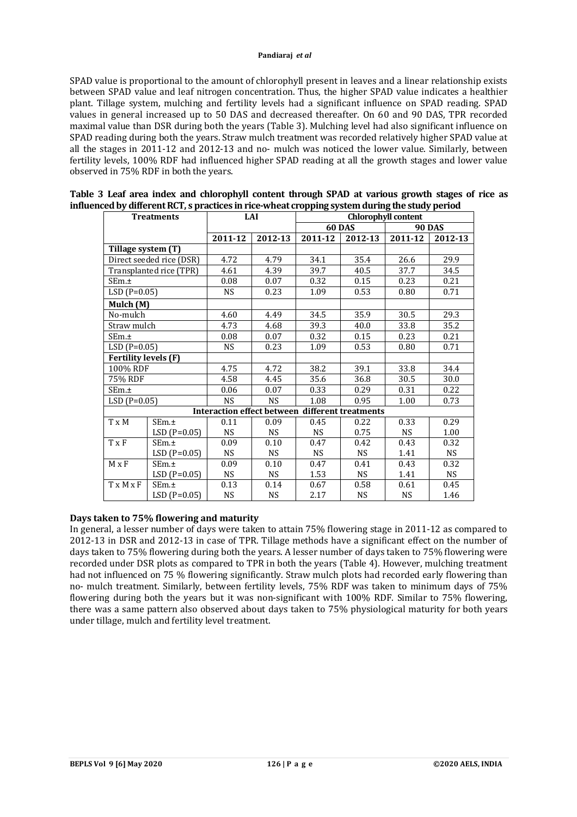SPAD value is proportional to the amount of chlorophyll present in leaves and a linear relationship exists between SPAD value and leaf nitrogen concentration. Thus, the higher SPAD value indicates a healthier plant. Tillage system, mulching and fertility levels had a significant influence on SPAD reading. SPAD values in general increased up to 50 DAS and decreased thereafter. On 60 and 90 DAS, TPR recorded maximal value than DSR during both the years (Table 3). Mulching level had also significant influence on SPAD reading during both the years. Straw mulch treatment was recorded relatively higher SPAD value at all the stages in 2011-12 and 2012-13 and no- mulch was noticed the lower value. Similarly, between fertility levels, 100% RDF had influenced higher SPAD reading at all the growth stages and lower value observed in 75% RDF in both the years.

| <b>Treatments</b>           |                          | LAI       |           | <b>Chlorophyll content</b>                      |           |               |           |  |
|-----------------------------|--------------------------|-----------|-----------|-------------------------------------------------|-----------|---------------|-----------|--|
|                             |                          |           |           | <b>60 DAS</b>                                   |           | <b>90 DAS</b> |           |  |
|                             |                          |           | 2012-13   | 2011-12                                         | 2012-13   | 2011-12       | 2012-13   |  |
| Tillage system (T)          |                          |           |           |                                                 |           |               |           |  |
|                             | Direct seeded rice (DSR) | 4.72      | 4.79      | 34.1                                            | 35.4      | 26.6          | 29.9      |  |
|                             | Transplanted rice (TPR)  | 4.61      | 4.39      | 39.7                                            | 40.5      | 37.7          | 34.5      |  |
| SEm.±                       |                          | 0.08      | 0.07      | 0.32                                            | 0.15      | 0.23          | 0.21      |  |
| $LSD(P=0.05)$               |                          | <b>NS</b> | 0.23      | 1.09                                            | 0.53      | 0.80          | 0.71      |  |
| Mulch (M)                   |                          |           |           |                                                 |           |               |           |  |
| No-mulch                    |                          | 4.60      | 4.49      | 34.5                                            | 35.9      | 30.5          | 29.3      |  |
| Straw mulch                 |                          | 4.73      | 4.68      | 39.3                                            | 40.0      | 33.8          | 35.2      |  |
| SEm.±                       |                          | 0.08      | 0.07      | 0.32                                            | 0.15      | 0.23          | 0.21      |  |
| $LSD(P=0.05)$               |                          | <b>NS</b> | 0.23      | 1.09                                            | 0.53      | 0.80          | 0.71      |  |
| <b>Fertility levels (F)</b> |                          |           |           |                                                 |           |               |           |  |
| 100% RDF                    |                          | 4.75      | 4.72      | 38.2                                            | 39.1      | 33.8          | 34.4      |  |
| 75% RDF                     |                          | 4.58      | 4.45      | 35.6                                            | 36.8      | 30.5          | 30.0      |  |
| SEm.±                       |                          | 0.06      | 0.07      | 0.33                                            | 0.29      | 0.31          | 0.22      |  |
|                             | $LSD(P=0.05)$            |           | <b>NS</b> | 1.08                                            | 0.95      | 1.00          | 0.73      |  |
|                             |                          |           |           | Interaction effect between different treatments |           |               |           |  |
| T x M                       | SEm.±                    | 0.11      | 0.09      | 0.45                                            | 0.22      | 0.33          | 0.29      |  |
|                             | $LSD(P=0.05)$            | <b>NS</b> | <b>NS</b> | <b>NS</b>                                       | 0.75      | <b>NS</b>     | 1.00      |  |
| $T \times F$                | SEm.±                    | 0.09      | 0.10      | 0.47                                            | 0.42      | 0.43          | 0.32      |  |
|                             | $LSD(P=0.05)$            | <b>NS</b> | <b>NS</b> | <b>NS</b>                                       | NS.       | 1.41          | NS.       |  |
| $M \times F$                | SEm.±                    | 0.09      | 0.10      | 0.47                                            | 0.41      | 0.43          | 0.32      |  |
| $LSD(P=0.05)$               |                          | <b>NS</b> | <b>NS</b> | 1.53                                            | <b>NS</b> | 1.41          | <b>NS</b> |  |
| T x M x F                   | SEm.±                    | 0.13      | 0.14      | 0.67                                            | 0.58      | 0.61          | 0.45      |  |
|                             | $LSD(P=0.05)$            | <b>NS</b> | <b>NS</b> | 2.17                                            | <b>NS</b> | <b>NS</b>     | 1.46      |  |

| Table 3 Leaf area index and chlorophyll content through SPAD at various growth stages of rice as |  |  |  |
|--------------------------------------------------------------------------------------------------|--|--|--|
| influenced by different RCT, s practices in rice-wheat cropping system during the study period   |  |  |  |

# **Days taken to 75% flowering and maturity**

In general, a lesser number of days were taken to attain 75% flowering stage in 2011-12 as compared to 2012-13 in DSR and 2012-13 in case of TPR. Tillage methods have a significant effect on the number of days taken to 75% flowering during both the years. A lesser number of days taken to 75% flowering were recorded under DSR plots as compared to TPR in both the years (Table 4). However, mulching treatment had not influenced on 75 % flowering significantly. Straw mulch plots had recorded early flowering than no- mulch treatment. Similarly, between fertility levels, 75% RDF was taken to minimum days of 75% flowering during both the years but it was non-significant with 100% RDF. Similar to 75% flowering, there was a same pattern also observed about days taken to 75% physiological maturity for both years under tillage, mulch and fertility level treatment.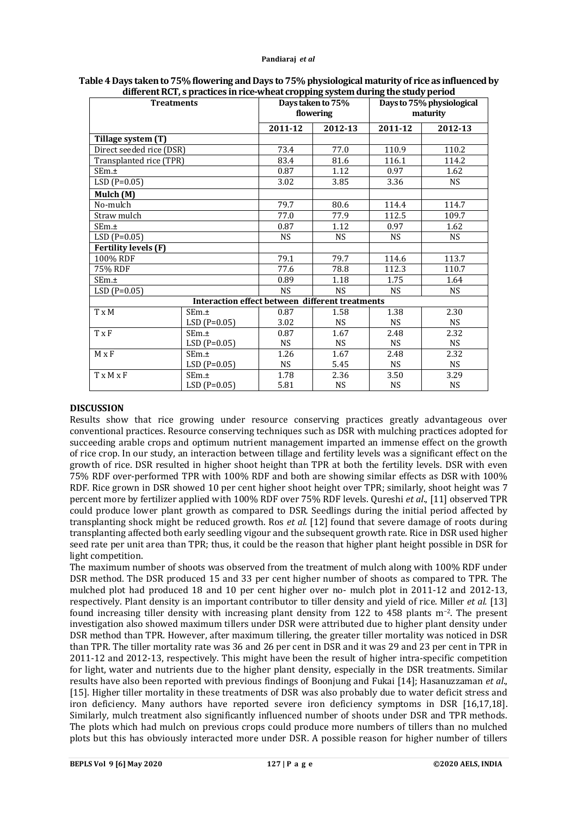| merent ner) o praetices in rice wheat eropping system aaring are staay period<br><b>Treatments</b> |                                                 |           | Days taken to 75%<br>flowering | Days to 75% physiological<br>maturity |           |  |
|----------------------------------------------------------------------------------------------------|-------------------------------------------------|-----------|--------------------------------|---------------------------------------|-----------|--|
|                                                                                                    |                                                 | 2011-12   | 2012-13                        | 2011-12                               | 2012-13   |  |
| Tillage system (T)                                                                                 |                                                 |           |                                |                                       |           |  |
| Direct seeded rice (DSR)                                                                           |                                                 | 73.4      | 77.0                           | 110.9                                 | 110.2     |  |
| Transplanted rice (TPR)                                                                            |                                                 | 83.4      | 81.6                           | 116.1                                 | 114.2     |  |
| SEm.±                                                                                              |                                                 | 0.87      | 1.12                           | 0.97                                  | 1.62      |  |
| $LSD(P=0.05)$                                                                                      |                                                 | 3.02      | 3.85                           | 3.36                                  | <b>NS</b> |  |
| Mulch (M)                                                                                          |                                                 |           |                                |                                       |           |  |
| No-mulch                                                                                           |                                                 | 79.7      | 80.6                           | 114.4                                 | 114.7     |  |
| Straw mulch                                                                                        |                                                 | 77.0      | 77.9                           | 112.5                                 | 109.7     |  |
| SEm.±                                                                                              |                                                 | 0.87      | 1.12                           | 0.97                                  | 1.62      |  |
| $LSD(P=0.05)$                                                                                      |                                                 | <b>NS</b> | <b>NS</b>                      | <b>NS</b>                             | <b>NS</b> |  |
| <b>Fertility levels (F)</b>                                                                        |                                                 |           |                                |                                       |           |  |
| 100% RDF                                                                                           |                                                 | 79.1      | 79.7                           | 114.6                                 | 113.7     |  |
| 75% RDF                                                                                            |                                                 | 77.6      | 78.8                           | 112.3                                 | 110.7     |  |
| SEm.±                                                                                              |                                                 | 0.89      | 1.18                           | 1.75                                  | 1.64      |  |
| $LSD(P=0.05)$                                                                                      |                                                 | <b>NS</b> | <b>NS</b>                      | <b>NS</b>                             | <b>NS</b> |  |
|                                                                                                    | Interaction effect between different treatments |           |                                |                                       |           |  |
| $T \times M$                                                                                       | SEm.±                                           | 0.87      | 1.58                           | 1.38                                  | 2.30      |  |
|                                                                                                    | $LSD(P=0.05)$                                   | 3.02      | <b>NS</b>                      | <b>NS</b>                             | <b>NS</b> |  |
| <b>T</b> x F                                                                                       | SEm.±                                           | 0.87      | 1.67                           | 2.48                                  | 2.32      |  |
|                                                                                                    | $LSD(P=0.05)$                                   | <b>NS</b> | <b>NS</b>                      | <b>NS</b>                             | <b>NS</b> |  |
| $M \times F$                                                                                       | SEm.±                                           | 1.26      | 1.67                           | 2.48                                  | 2.32      |  |
|                                                                                                    | $LSD(P=0.05)$                                   | <b>NS</b> | 5.45                           | <b>NS</b>                             | NS        |  |
| $T \times M \times F$                                                                              | SEm.±                                           | 1.78      | 2.36                           | 3.50                                  | 3.29      |  |
|                                                                                                    | $LSD(P=0.05)$                                   | 5.81      | <b>NS</b>                      | <b>NS</b>                             | <b>NS</b> |  |

# **Table 4 Days taken to 75% flowering and Days to 75% physiological maturity of rice as influenced by different RCT, s practices in rice-wheat cropping system during the study period**

# **DISCUSSION**

Results show that rice growing under resource conserving practices greatly advantageous over conventional practices. Resource conserving techniques such as DSR with mulching practices adopted for succeeding arable crops and optimum nutrient management imparted an immense effect on the growth of rice crop. In our study, an interaction between tillage and fertility levels was a significant effect on the growth of rice. DSR resulted in higher shoot height than TPR at both the fertility levels. DSR with even 75% RDF over-performed TPR with 100% RDF and both are showing similar effects as DSR with 100% RDF. Rice grown in DSR showed 10 per cent higher shoot height over TPR; similarly, shoot height was 7 percent more by fertilizer applied with 100% RDF over 75% RDF levels. Qureshi *et al*., [11] observed TPR could produce lower plant growth as compared to DSR. Seedlings during the initial period affected by transplanting shock might be reduced growth. Ros *et al*. [12] found that severe damage of roots during transplanting affected both early seedling vigour and the subsequent growth rate. Rice in DSR used higher seed rate per unit area than TPR; thus, it could be the reason that higher plant height possible in DSR for light competition.

The maximum number of shoots was observed from the treatment of mulch along with 100% RDF under DSR method. The DSR produced 15 and 33 per cent higher number of shoots as compared to TPR. The mulched plot had produced 18 and 10 per cent higher over no- mulch plot in 2011-12 and 2012-13, respectively. Plant density is an important contributor to tiller density and yield of rice. Miller *et al.* [13] found increasing tiller density with increasing plant density from 122 to 458 plants m−2. The present investigation also showed maximum tillers under DSR were attributed due to higher plant density under DSR method than TPR. However, after maximum tillering, the greater tiller mortality was noticed in DSR than TPR. The tiller mortality rate was 36 and 26 per cent in DSR and it was 29 and 23 per cent in TPR in 2011-12 and 2012-13, respectively. This might have been the result of higher intra-specific competition for light, water and nutrients due to the higher plant density, especially in the DSR treatments. Similar results have also been reported with previous findings of Boonjung and Fukai [14]; Hasanuzzaman *et al*., [15]. Higher tiller mortality in these treatments of DSR was also probably due to water deficit stress and iron deficiency. Many authors have reported severe iron deficiency symptoms in DSR [16,17,18]. Similarly, mulch treatment also significantly influenced number of shoots under DSR and TPR methods. The plots which had mulch on previous crops could produce more numbers of tillers than no mulched plots but this has obviously interacted more under DSR. A possible reason for higher number of tillers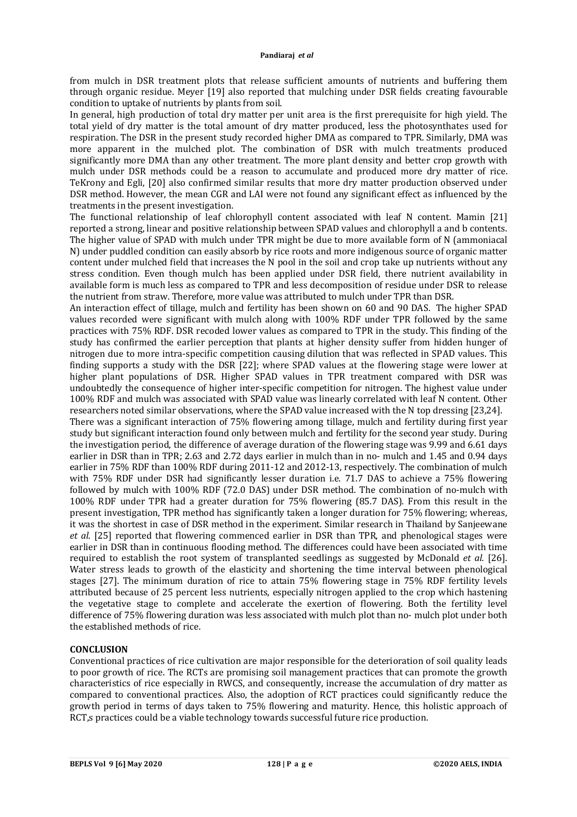from mulch in DSR treatment plots that release sufficient amounts of nutrients and buffering them through organic residue. Meyer [19] also reported that mulching under DSR fields creating favourable condition to uptake of nutrients by plants from soil.

In general, high production of total dry matter per unit area is the first prerequisite for high yield. The total yield of dry matter is the total amount of dry matter produced, less the photosynthates used for respiration. The DSR in the present study recorded higher DMA as compared to TPR. Similarly, DMA was more apparent in the mulched plot. The combination of DSR with mulch treatments produced significantly more DMA than any other treatment. The more plant density and better crop growth with mulch under DSR methods could be a reason to accumulate and produced more dry matter of rice. TeKrony and Egli, [20] also confirmed similar results that more dry matter production observed under DSR method. However, the mean CGR and LAI were not found any significant effect as influenced by the treatments in the present investigation.

The functional relationship of leaf chlorophyll content associated with leaf N content. Mamin [21] reported a strong, linear and positive relationship between SPAD values and chlorophyll a and b contents. The higher value of SPAD with mulch under TPR might be due to more available form of N (ammoniacal N) under puddled condition can easily absorb by rice roots and more indigenous source of organic matter content under mulched field that increases the N pool in the soil and crop take up nutrients without any stress condition. Even though mulch has been applied under DSR field, there nutrient availability in available form is much less as compared to TPR and less decomposition of residue under DSR to release the nutrient from straw. Therefore, more value was attributed to mulch under TPR than DSR.

An interaction effect of tillage, mulch and fertility has been shown on 60 and 90 DAS. The higher SPAD values recorded were significant with mulch along with 100% RDF under TPR followed by the same practices with 75% RDF. DSR recoded lower values as compared to TPR in the study. This finding of the study has confirmed the earlier perception that plants at higher density suffer from hidden hunger of nitrogen due to more intra-specific competition causing dilution that was reflected in SPAD values. This finding supports a study with the DSR [22]; where SPAD values at the flowering stage were lower at higher plant populations of DSR. Higher SPAD values in TPR treatment compared with DSR was undoubtedly the consequence of higher inter-specific competition for nitrogen. The highest value under 100% RDF and mulch was associated with SPAD value was linearly correlated with leaf N content. Other researchers noted similar observations, where the SPAD value increased with the N top dressing [23,24].

There was a significant interaction of 75% flowering among tillage, mulch and fertility during first year study but significant interaction found only between mulch and fertility for the second year study. During the investigation period, the difference of average duration of the flowering stage was 9.99 and 6.61 days earlier in DSR than in TPR; 2.63 and 2.72 days earlier in mulch than in no- mulch and 1.45 and 0.94 days earlier in 75% RDF than 100% RDF during 2011-12 and 2012-13, respectively. The combination of mulch with 75% RDF under DSR had significantly lesser duration i.e. 71.7 DAS to achieve a 75% flowering followed by mulch with 100% RDF (72.0 DAS) under DSR method. The combination of no-mulch with 100% RDF under TPR had a greater duration for 75% flowering (85.7 DAS). From this result in the present investigation, TPR method has significantly taken a longer duration for 75% flowering; whereas, it was the shortest in case of DSR method in the experiment. Similar research in Thailand by Sanjeewane *et al*. [25] reported that flowering commenced earlier in DSR than TPR, and phenological stages were earlier in DSR than in continuous flooding method. The differences could have been associated with time required to establish the root system of transplanted seedlings as suggested by McDonald *et al.* [26]. Water stress leads to growth of the elasticity and shortening the time interval between phenological stages [27]. The minimum duration of rice to attain 75% flowering stage in 75% RDF fertility levels attributed because of 25 percent less nutrients, especially nitrogen applied to the crop which hastening the vegetative stage to complete and accelerate the exertion of flowering. Both the fertility level difference of 75% flowering duration was less associated with mulch plot than no- mulch plot under both the established methods of rice.

# **CONCLUSION**

Conventional practices of rice cultivation are major responsible for the deterioration of soil quality leads to poor growth of rice. The RCTs are promising soil management practices that can promote the growth characteristics of rice especially in RWCS, and consequently, increase the accumulation of dry matter as compared to conventional practices. Also, the adoption of RCT practices could significantly reduce the growth period in terms of days taken to 75% flowering and maturity. Hence, this holistic approach of RCT,s practices could be a viable technology towards successful future rice production.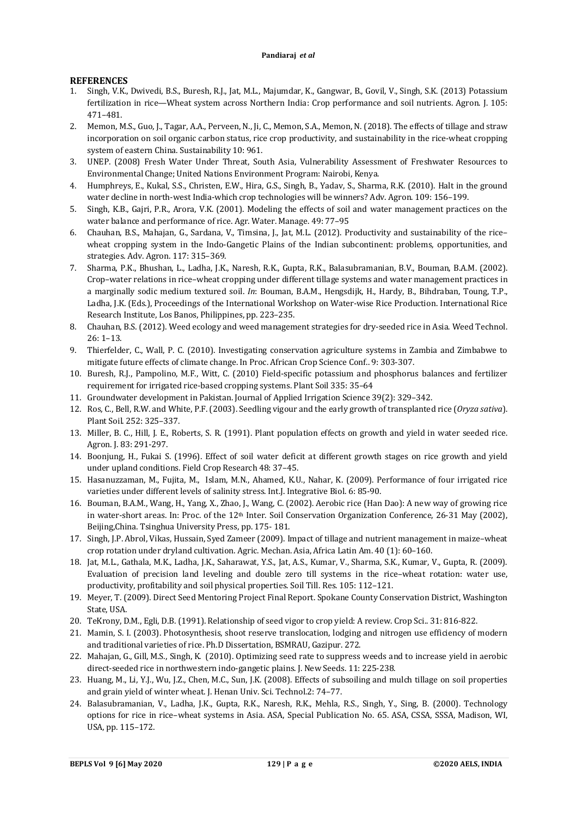# **REFERENCES**

- 1. Singh, V.K., Dwivedi, B.S., Buresh, R.J., Jat, M.L., Majumdar, K., Gangwar, B., Govil, V., Singh, S.K. (2013) Potassium fertilization in rice—Wheat system across Northern India: Crop performance and soil nutrients. Agron. J. 105: 471–481.
- 2. Memon, M.S., Guo, J., Tagar, A.A., Perveen, N., Ji, C., Memon, S.A., Memon, N. (2018). The effects of tillage and straw incorporation on soil organic carbon status, rice crop productivity, and sustainability in the rice-wheat cropping system of eastern China. Sustainability 10: 961.
- 3. UNEP. (2008) Fresh Water Under Threat, South Asia, Vulnerability Assessment of Freshwater Resources to Environmental Change; United Nations Environment Program: Nairobi, Kenya.
- 4. Humphreys, E., Kukal, S.S., Christen, E.W., Hira, G.S., Singh, B., Yadav, S., Sharma, R.K. (2010). Halt in the ground water decline in north-west India-which crop technologies will be winners? Adv. Agron. 109: 156–199.
- 5. Singh, K.B., Gajri, P.R., Arora, V.K. (2001). Modeling the effects of soil and water management practices on the water balance and performance of rice. Agr. Water. Manage. 49: 77–95
- 6. Chauhan, B.S., Mahajan, G., Sardana, V., Timsina, J., Jat, M.L. (2012). Productivity and sustainability of the rice– wheat cropping system in the Indo-Gangetic Plains of the Indian subcontinent: problems, opportunities, and strategies. Adv. Agron. 117: 315–369.
- 7. Sharma, P.K., Bhushan, L., Ladha, J.K., Naresh, R.K., Gupta, R.K., Balasubramanian, B.V., Bouman, B.A.M. (2002). Crop–water relations in rice–wheat cropping under different tillage systems and water management practices in a marginally sodic medium textured soil. *In*: Bouman, B.A.M., Hengsdijk, H., Hardy, B., Bihdraban, Toung, T.P., Ladha, J.K. (Eds.), Proceedings of the International Workshop on Water-wise Rice Production. International Rice Research Institute, Los Banos, Philippines, pp. 223–235.
- 8. Chauhan, B.S. (2012). Weed ecology and weed management strategies for dry-seeded rice in Asia. Weed Technol. 26: 1–13.
- 9. Thierfelder, C., Wall, P. C. (2010). Investigating conservation agriculture systems in Zambia and Zimbabwe to mitigate future effects of climate change. In Proc. African Crop Science Conf.. 9: 303-307.
- 10. Buresh, R.J., Pampolino, M.F., Witt, C. (2010) Field-specific potassium and phosphorus balances and fertilizer requirement for irrigated rice-based cropping systems. Plant Soil 335: 35–64
- 11. Groundwater development in Pakistan. Journal of Applied Irrigation Science 39(2): 329–342.
- 12. Ros, C., Bell, R.W. and White, P.F. (2003). Seedling vigour and the early growth of transplanted rice (*Oryza sativa*). Plant Soil. 252: 325–337.
- 13. Miller, B. C., Hill, J. E., Roberts, S. R. (1991). Plant population effects on growth and yield in water seeded rice. Agron. J. 83: 291-297.
- 14. Boonjung, H., Fukai S. (1996). Effect of soil water deficit at different growth stages on rice growth and yield under upland conditions. Field Crop Research 48: 37–45.
- 15. Hasanuzzaman, M., Fujita, M., Islam, M.N., Ahamed, K.U., Nahar, K. (2009). Performance of four irrigated rice varieties under different levels of salinity stress. Int.J. Integrative Biol. 6: 85-90.
- 16. Bouman, B.A.M., Wang, H., Yang, X., Zhao, J., Wang, C. (2002). Aerobic rice (Han Dao): A new way of growing rice in water-short areas. In: Proc. of the 12<sup>th</sup> Inter. Soil Conservation Organization Conference, 26-31 May (2002), Beijing,China. Tsinghua University Press, pp. 175- 181.
- 17. Singh, J.P. Abrol, Vikas, Hussain, Syed Zameer (2009). Impact of tillage and nutrient management in maize–wheat crop rotation under dryland cultivation. Agric. Mechan. Asia, Africa Latin Am. 40 (1): 60–160.
- 18. Jat, M.L., Gathala, M.K., Ladha, J.K., Saharawat, Y.S., Jat, A.S., Kumar, V., Sharma, S.K., Kumar, V., Gupta, R. (2009). Evaluation of precision land leveling and double zero till systems in the rice–wheat rotation: water use, productivity, profitability and soil physical properties. Soil Till. Res. 105: 112–121.
- 19. Meyer, T. (2009). Direct Seed Mentoring Project Final Report. Spokane County Conservation District, Washington State, USA.
- 20. TeKrony, D.M., Egli, D.B. (1991). Relationship of seed vigor to crop yield: A review. Crop Sci.. 31: 816-822.
- 21. Mamin, S. I. (2003). Photosynthesis, shoot reserve translocation, lodging and nitrogen use efficiency of modern and traditional varieties of rice. Ph.D Dissertation, BSMRAU, Gazipur. 272.
- 22. Mahajan, G., Gill, M.S., Singh, K. (2010). Optimizing seed rate to suppress weeds and to increase yield in aerobic direct-seeded rice in northwestern indo-gangetic plains. J. New Seeds. 11: 225-238.
- 23. Huang, M., Li, Y.J., Wu, J.Z., Chen, M.C., Sun, J.K. (2008). Effects of subsoiling and mulch tillage on soil properties and grain yield of winter wheat. J. Henan Univ. Sci. Technol.2: 74–77.
- 24. Balasubramanian, V., Ladha, J.K., Gupta, R.K., Naresh, R.K., Mehla, R.S., Singh, Y., Sing, B. (2000). Technology options for rice in rice–wheat systems in Asia. ASA, Special Publication No. 65. ASA, CSSA, SSSA, Madison, WI, USA, pp. 115–172.